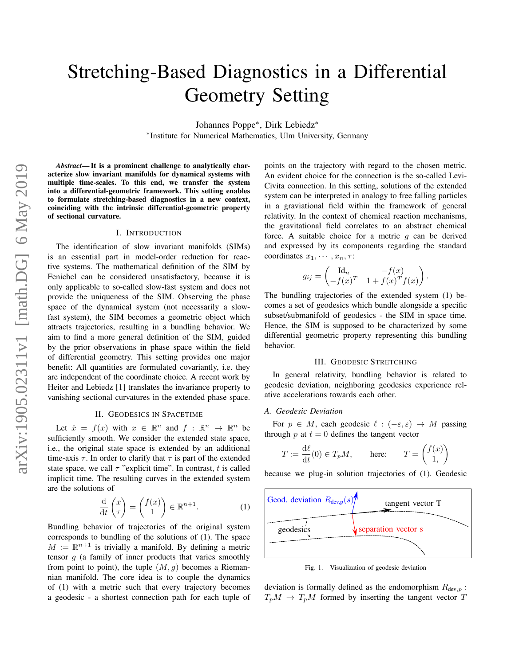# Stretching-Based Diagnostics in a Differential Geometry Setting

Johannes Poppe<sup>∗</sup> , Dirk Lebiedz<sup>∗</sup>

∗ Institute for Numerical Mathematics, Ulm University, Germany

*Abstract*— It is a prominent challenge to analytically characterize slow invariant manifolds for dynamical systems with multiple time-scales. To this end, we transfer the system into a differential-geometric framework. This setting enables to formulate stretching-based diagnostics in a new context, coinciding with the intrinsic differential-geometric property of sectional curvature.

# I. INTRODUCTION

The identification of slow invariant manifolds (SIMs) is an essential part in model-order reduction for reactive systems. The mathematical definition of the SIM by Fenichel can be considered unsatisfactory, because it is only applicable to so-called slow-fast system and does not provide the uniqueness of the SIM. Observing the phase space of the dynamical system (not necessarily a slowfast system), the SIM becomes a geometric object which attracts trajectories, resulting in a bundling behavior. We aim to find a more general definition of the SIM, guided by the prior observations in phase space within the field of differential geometry. This setting provides one major benefit: All quantities are formulated covariantly, i.e. they are independent of the coordinate choice. A recent work by Heiter and Lebiedz [1] translates the invariance property to vanishing sectional curvatures in the extended phase space.

#### II. GEODESICS IN SPACETIME

Let  $\dot{x} = f(x)$  with  $x \in \mathbb{R}^n$  and  $f : \mathbb{R}^n \to \mathbb{R}^n$  be sufficiently smooth. We consider the extended state space, i.e., the original state space is extended by an additional time-axis  $\tau$ . In order to clarify that  $\tau$  is part of the extended state space, we call  $\tau$  "explicit time". In contrast, t is called implicit time. The resulting curves in the extended system are the solutions of

$$
\frac{\mathrm{d}}{\mathrm{d}t}\begin{pmatrix}x\\\tau\end{pmatrix} = \begin{pmatrix}f(x)\\1\end{pmatrix} \in \mathbb{R}^{n+1}.
$$
 (1)

Bundling behavior of trajectories of the original system corresponds to bundling of the solutions of (1). The space  $M := \mathbb{R}^{n+1}$  is trivially a manifold. By defining a metric tensor  $g$  (a family of inner products that varies smoothly from point to point), the tuple  $(M, q)$  becomes a Riemannian manifold. The core idea is to couple the dynamics of (1) with a metric such that every trajectory becomes a geodesic - a shortest connection path for each tuple of points on the trajectory with regard to the chosen metric. An evident choice for the connection is the so-called Levi-Civita connection. In this setting, solutions of the extended system can be interpreted in analogy to free falling particles in a graviational field within the framework of general relativity. In the context of chemical reaction mechanisms, the gravitational field correlates to an abstract chemical force. A suitable choice for a metric  $g$  can be derived and expressed by its components regarding the standard coordinates  $x_1, \cdots, x_n, \tau$ :

$$
g_{ij} = \begin{pmatrix} \mathrm{Id}_n & -f(x) \\ -f(x)^T & 1 + f(x)^T f(x) \end{pmatrix}
$$

.

The bundling trajectories of the extended system (1) becomes a set of geodesics which bundle alongside a specific subset/submanifold of geodesics - the SIM in space time. Hence, the SIM is supposed to be characterized by some differential geometric property representing this bundling behavior.

#### III. GEODESIC STRETCHING

In general relativity, bundling behavior is related to geodesic deviation, neighboring geodesics experience relative accelerations towards each other.

## *A. Geodesic Deviation*

For  $p \in M$ , each geodesic  $\ell : (-\varepsilon, \varepsilon) \to M$  passing through  $p$  at  $t = 0$  defines the tangent vector

$$
T := \frac{\mathrm{d}\ell}{\mathrm{d}t}(0) \in T_p M, \quad \text{here:} \quad T = \begin{pmatrix} f(x) \\ 1, \end{pmatrix}
$$

because we plug-in solution trajectories of (1). Geodesic



Fig. 1. Visualization of geodesic deviation

deviation is formally defined as the endomorphism  $R_{\text{dev},p}$ :  $T_pM \rightarrow T_pM$  formed by inserting the tangent vector T